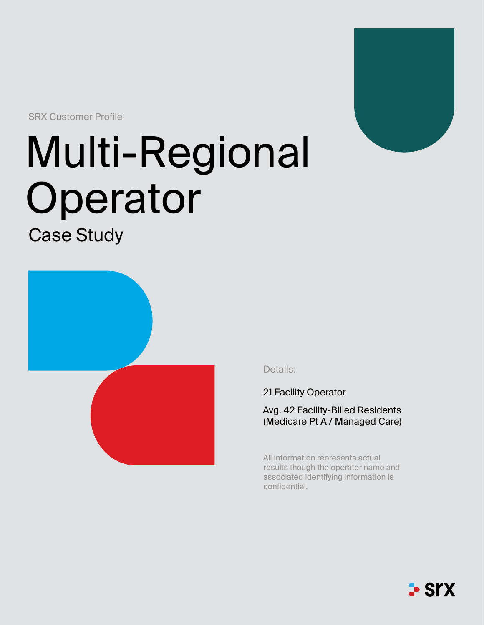SRX Customer Profile

# Multi-Regional Operator

Case Study



Details:

21 Facility Operator

Avg. 42 Facility-Billed Residents (Medicare Pt A / Managed Care)

All information represents actual results though the operator name and associated identifying information is confidential.



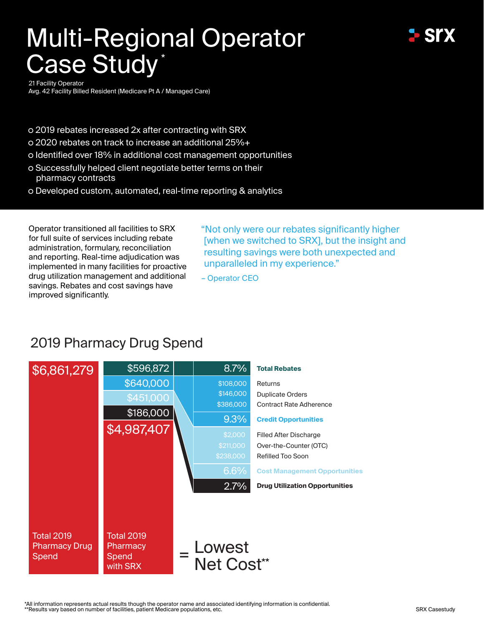# Multi-Regional Operator Case Study\*



21 Facility Operator

Avg. 42 Facility Billed Resident (Medicare Pt A / Managed Care)

- o 2019 rebates increased 2x after contracting with SRX
- 2020 rebates on track to increase an additional 25%+
- Identified over 18% in additional cost management opportunities
- Successfully helped client negotiate better terms on their pharmacy contracts
- o Developed custom, automated, real-time reporting & analytics

Operator transitioned all facilities to SRX for full suite of services including rebate administration, formulary, reconciliation and reporting. Real-time adjudication was implemented in many facilities for proactive drug utilization management and additional savings. Rebates and cost savings have improved significantly.

"Not only were our rebates significantly higher [when we switched to SRX], but the insight and resulting savings were both unexpected and unparalleled in my experience."

– Operator CEO

## 2019 Pharmacy Drug Spend



\*All information represents actual results though the operator name and associated identifying information is confidential. \*\*Results vary based on number of facilities, patient Medicare populations, etc.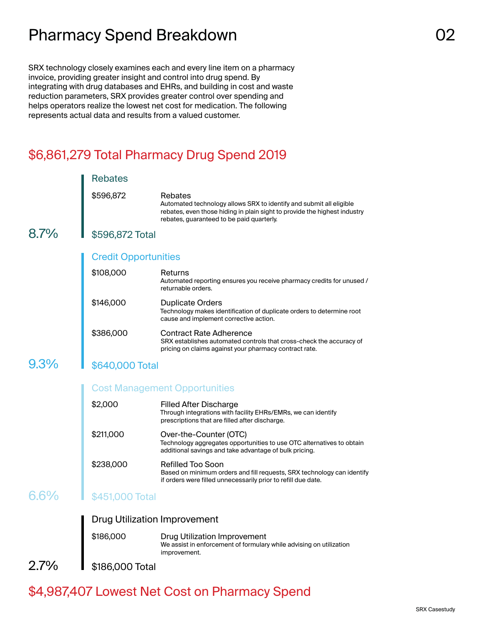# Pharmacy Spend Breakdown **COMEX 1999** 02

SRX technology closely examines each and every line item on a pharmacy invoice, providing greater insight and control into drug spend. By integrating with drug databases and EHRs, and building in cost and waste reduction parameters, SRX provides greater control over spending and helps operators realize the lowest net cost for medication. The following represents actual data and results from a valued customer.

### \$6,861,279 Total Pharmacy Drug Spend 2019

|         | <b>Rebates</b>                      |                                                                                                                                                                                                          |  |
|---------|-------------------------------------|----------------------------------------------------------------------------------------------------------------------------------------------------------------------------------------------------------|--|
|         | \$596,872                           | Rebates<br>Automated technology allows SRX to identify and submit all eligible<br>rebates, even those hiding in plain sight to provide the highest industry<br>rebates, guaranteed to be paid quarterly. |  |
| $8.7\%$ | \$596,872 Total                     |                                                                                                                                                                                                          |  |
|         | <b>Credit Opportunities</b>         |                                                                                                                                                                                                          |  |
|         | \$108,000                           | Returns<br>Automated reporting ensures you receive pharmacy credits for unused /<br>returnable orders.                                                                                                   |  |
|         | \$146,000                           | <b>Duplicate Orders</b><br>Technology makes identification of duplicate orders to determine root<br>cause and implement corrective action.                                                               |  |
|         | \$386,000                           | <b>Contract Rate Adherence</b><br>SRX establishes automated controls that cross-check the accuracy of<br>pricing on claims against your pharmacy contract rate.                                          |  |
| $9.3\%$ | \$640,000 Total                     |                                                                                                                                                                                                          |  |
|         |                                     | <b>Cost Management Opportunities</b>                                                                                                                                                                     |  |
|         | \$2,000                             | Filled After Discharge<br>Through integrations with facility EHRs/EMRs, we can identify<br>prescriptions that are filled after discharge.                                                                |  |
|         | \$211,000                           | Over-the-Counter (OTC)<br>Technology aggregates opportunities to use OTC alternatives to obtain<br>additional savings and take advantage of bulk pricing.                                                |  |
|         | \$238,000                           | Refilled Too Soon<br>Based on minimum orders and fill requests, SRX technology can identify<br>if orders were filled unnecessarily prior to refill due date.                                             |  |
| $6.6\%$ | \$451,000 Total                     |                                                                                                                                                                                                          |  |
|         | <b>Drug Utilization Improvement</b> |                                                                                                                                                                                                          |  |
|         | \$186,000                           | <b>Drug Utilization Improvement</b><br>We assist in enforcement of formulary while advising on utilization<br>improvement.                                                                               |  |
| 2.7%    | \$186,000 Total                     |                                                                                                                                                                                                          |  |
|         |                                     |                                                                                                                                                                                                          |  |

## \$4,987,407 Lowest Net Cost on Pharmacy Spend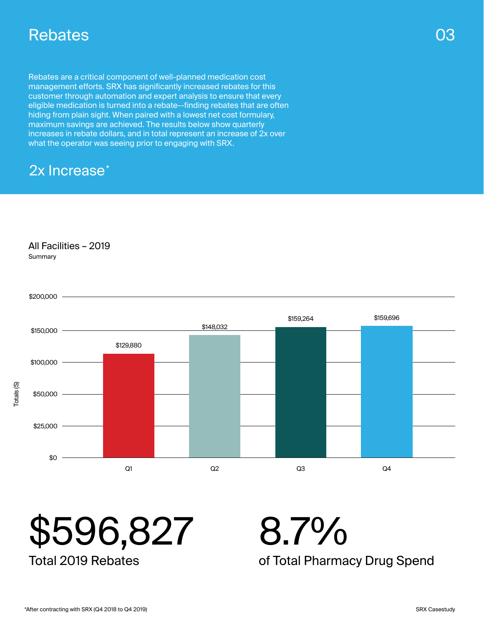# Rebates

Rebates are a critical component of well-planned medication cost management efforts. SRX has significantly increased rebates for this customer through automation and expert analysis to ensure that every eligible medication is turned into a rebate--finding rebates that are often hiding from plain sight. When paired with a lowest net cost formulary, maximum savings are achieved. The results below show quarterly increases in rebate dollars, and in total represent an increase of 2x over what the operator was seeing prior to engaging with SRX.

# 2x Increase<sup>\*</sup>

#### All Facilities – 2019

**Summary** 





Total 2019 Rebates

8.7%

of Total Pharmacy Drug Spend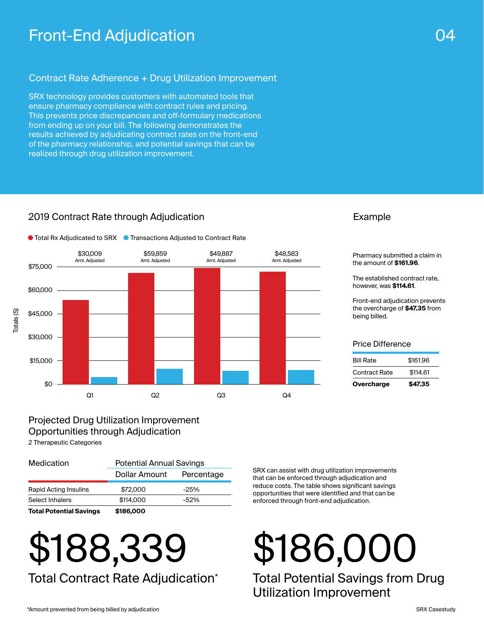# Front-End Adjudication 04

#### Contract Rate Adherence + Drug Utilization Improvement

SRX technology provides customers with automated tools that ensure pharmacy compliance with contract rules and pricing. This prevents price discrepancies and off-formulary medications from ending up on your bill. The following demonstrates the results achieved by adjudicating contract rates on the front-end of the pharmacy relationship, and potential savings that can be realized through drug utilization improvement.

#### 2019 Contract Rate through Adjudication



#### Example

Pharmacy submitted a claim in the amount of **\$161.96**.

The established contract rate, however, was **\$114.61**.

Front-end adjudication prevents the overcharge of **\$47.35** from being billed.

#### Price Difference

| Overcharge           | \$47.35  |  |
|----------------------|----------|--|
| <b>Contract Rate</b> | \$114.61 |  |
| <b>Bill Rate</b>     | \$161.96 |  |
|                      |          |  |

### Projected Drug Utilization Improvement Opportunities through Adjudication

2 Therapeutic Categories

| <b>Total Potential Savings</b> | \$186,000                       |            |  |
|--------------------------------|---------------------------------|------------|--|
| Select Inhalers                | \$114,000                       | $-52%$     |  |
| <b>Rapid Acting Insulins</b>   | \$72,000                        | $-25%$     |  |
|                                | Dollar Amount                   | Percentage |  |
| Medication                     | <b>Potential Annual Savings</b> |            |  |

# \$188,339 Total Contract Rate Adjudication\*

SRX can assist with drug utilization improvements that can be enforced through adjudication and reduce costs. The table shows significant savings opportunities that were identified and that can be enforced through front-end adjudication.

# \$186,000

Total Potential Savings from Drug Utilization Improvement